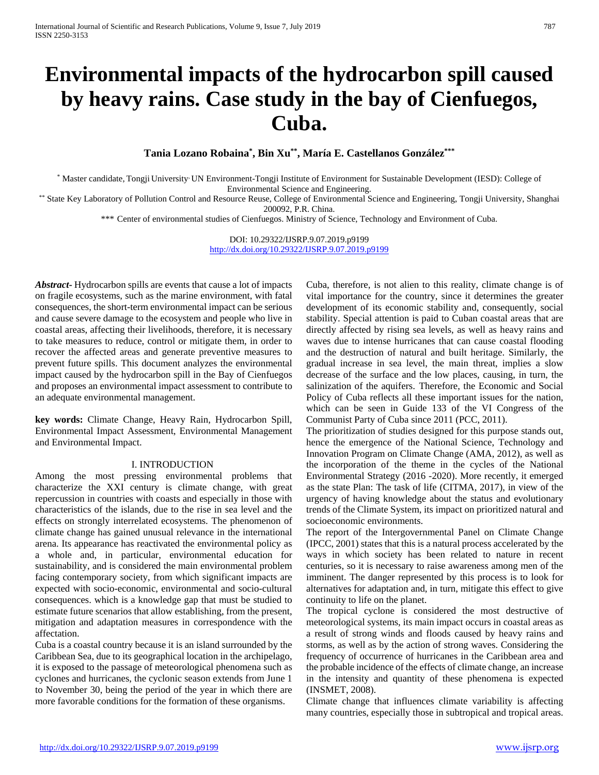# **Environmental impacts of the hydrocarbon spill caused by heavy rains. Case study in the bay of Cienfuegos, Cuba.**

**Tania Lozano Robaina\* , Bin Xu\*\*, María E. Castellanos González\*\*\***

\* Master candidate, Tongji University, UN Environment-Tongji Institute of Environment for Sustainable Development (IESD): College of Environmental Science and Engineering.

\*\* State Key Laboratory of Pollution Control and Resource Reuse, College of Environmental Science and Engineering, Tongji University, Shanghai 200092, P.R. China.

\*\*\* Center of environmental studies of Cienfuegos. Ministry of Science, Technology and Environment of Cuba.

DOI: 10.29322/IJSRP.9.07.2019.p9199 <http://dx.doi.org/10.29322/IJSRP.9.07.2019.p9199>

*Abstract***-** Hydrocarbon spills are events that cause a lot of impacts on fragile ecosystems, such as the marine environment, with fatal consequences, the short-term environmental impact can be serious and cause severe damage to the ecosystem and people who live in coastal areas, affecting their livelihoods, therefore, it is necessary to take measures to reduce, control or mitigate them, in order to recover the affected areas and generate preventive measures to prevent future spills. This document analyzes the environmental impact caused by the hydrocarbon spill in the Bay of Cienfuegos and proposes an environmental impact assessment to contribute to an adequate environmental management.

**key words:** Climate Change, Heavy Rain, Hydrocarbon Spill, Environmental Impact Assessment, Environmental Management and Environmental Impact.

#### I. INTRODUCTION

Among the most pressing environmental problems that characterize the XXI century is climate change, with great repercussion in countries with coasts and especially in those with characteristics of the islands, due to the rise in sea level and the effects on strongly interrelated ecosystems. The phenomenon of climate change has gained unusual relevance in the international arena. Its appearance has reactivated the environmental policy as a whole and, in particular, environmental education for sustainability, and is considered the main environmental problem facing contemporary society, from which significant impacts are expected with socio-economic, environmental and socio-cultural consequences. which is a knowledge gap that must be studied to estimate future scenarios that allow establishing, from the present, mitigation and adaptation measures in correspondence with the affectation.

Cuba is a coastal country because it is an island surrounded by the Caribbean Sea, due to its geographical location in the archipelago, it is exposed to the passage of meteorological phenomena such as cyclones and hurricanes, the cyclonic season extends from June 1 to November 30, being the period of the year in which there are more favorable conditions for the formation of these organisms.

Cuba, therefore, is not alien to this reality, climate change is of vital importance for the country, since it determines the greater development of its economic stability and, consequently, social stability. Special attention is paid to Cuban coastal areas that are directly affected by rising sea levels, as well as heavy rains and waves due to intense hurricanes that can cause coastal flooding and the destruction of natural and built heritage. Similarly, the gradual increase in sea level, the main threat, implies a slow decrease of the surface and the low places, causing, in turn, the salinization of the aquifers. Therefore, the Economic and Social Policy of Cuba reflects all these important issues for the nation, which can be seen in Guide 133 of the VI Congress of the Communist Party of Cuba since 2011 (PCC, 2011).

The prioritization of studies designed for this purpose stands out, hence the emergence of the National Science, Technology and Innovation Program on Climate Change (AMA, 2012), as well as the incorporation of the theme in the cycles of the National Environmental Strategy (2016 -2020). More recently, it emerged as the state Plan: The task of life (CITMA, 2017), in view of the urgency of having knowledge about the status and evolutionary trends of the Climate System, its impact on prioritized natural and socioeconomic environments.

The report of the Intergovernmental Panel on Climate Change (IPCC, 2001) states that this is a natural process accelerated by the ways in which society has been related to nature in recent centuries, so it is necessary to raise awareness among men of the imminent. The danger represented by this process is to look for alternatives for adaptation and, in turn, mitigate this effect to give continuity to life on the planet.

The tropical cyclone is considered the most destructive of meteorological systems, its main impact occurs in coastal areas as a result of strong winds and floods caused by heavy rains and storms, as well as by the action of strong waves. Considering the frequency of occurrence of hurricanes in the Caribbean area and the probable incidence of the effects of climate change, an increase in the intensity and quantity of these phenomena is expected (INSMET, 2008).

Climate change that influences climate variability is affecting many countries, especially those in subtropical and tropical areas.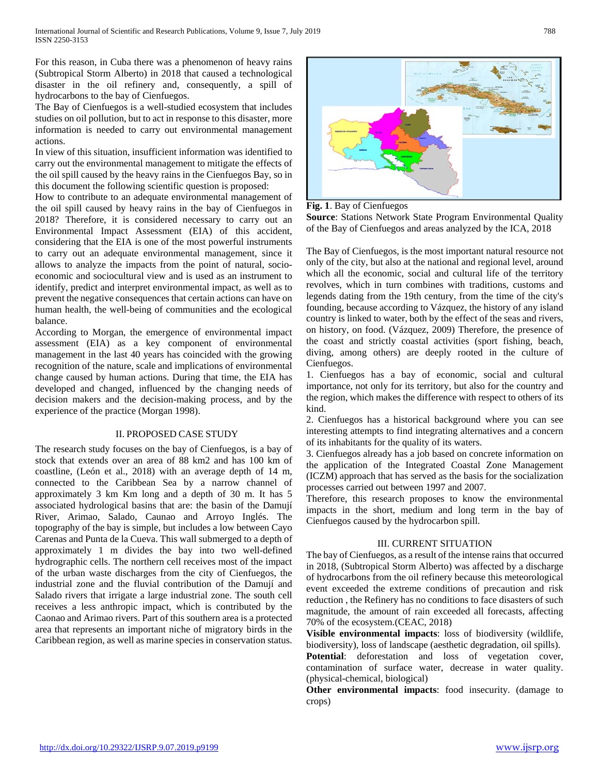For this reason, in Cuba there was a phenomenon of heavy rains (Subtropical Storm Alberto) in 2018 that caused a technological disaster in the oil refinery and, consequently, a spill of hydrocarbons to the bay of Cienfuegos.

The Bay of Cienfuegos is a well-studied ecosystem that includes studies on oil pollution, but to act in response to this disaster, more information is needed to carry out environmental management actions.

In view of this situation, insufficient information was identified to carry out the environmental management to mitigate the effects of the oil spill caused by the heavy rains in the Cienfuegos Bay, so in this document the following scientific question is proposed:

How to contribute to an adequate environmental management of the oil spill caused by heavy rains in the bay of Cienfuegos in 2018? Therefore, it is considered necessary to carry out an Environmental Impact Assessment (EIA) of this accident, considering that the EIA is one of the most powerful instruments to carry out an adequate environmental management, since it allows to analyze the impacts from the point of natural, socioeconomic and sociocultural view and is used as an instrument to identify, predict and interpret environmental impact, as well as to prevent the negative consequences that certain actions can have on human health, the well-being of communities and the ecological balance.

According to Morgan, the emergence of environmental impact assessment (EIA) as a key component of environmental management in the last 40 years has coincided with the growing recognition of the nature, scale and implications of environmental change caused by human actions. During that time, the EIA has developed and changed, influenced by the changing needs of decision makers and the decision-making process, and by the experience of the practice (Morgan 1998).

## II. PROPOSED CASE STUDY

The research study focuses on the bay of Cienfuegos, is a bay of stock that extends over an area of 88 km2 and has 100 km of coastline, (León et al., 2018) with an average depth of 14 m, connected to the Caribbean Sea by a narrow channel of approximately 3 km Km long and a depth of 30 m. It has 5 associated hydrological basins that are: the basin of the Damují River, Arimao, Salado, Caunao and Arroyo Inglés. The topography of the bay is simple, but includes a low between Cayo Carenas and Punta de la Cueva. This wall submerged to a depth of approximately 1 m divides the bay into two well-defined hydrographic cells. The northern cell receives most of the impact of the urban waste discharges from the city of Cienfuegos, the industrial zone and the fluvial contribution of the Damují and Salado rivers that irrigate a large industrial zone. The south cell receives a less anthropic impact, which is contributed by the Caonao and Arimao rivers. Part of this southern area is a protected area that represents an important niche of migratory birds in the Caribbean region, as well as marine species in conservation status.



**Fig. 1**. Bay of Cienfuegos

**Source**: Stations Network State Program Environmental Quality of the Bay of Cienfuegos and areas analyzed by the ICA, 2018

The Bay of Cienfuegos, is the most important natural resource not only of the city, but also at the national and regional level, around which all the economic, social and cultural life of the territory revolves, which in turn combines with traditions, customs and legends dating from the 19th century, from the time of the city's founding, because according to Vázquez, the history of any island country is linked to water, both by the effect of the seas and rivers, on history, on food. (Vázquez, 2009) Therefore, the presence of the coast and strictly coastal activities (sport fishing, beach, diving, among others) are deeply rooted in the culture of Cienfuegos.

1. Cienfuegos has a bay of economic, social and cultural importance, not only for its territory, but also for the country and the region, which makes the difference with respect to others of its kind.

2. Cienfuegos has a historical background where you can see interesting attempts to find integrating alternatives and a concern of its inhabitants for the quality of its waters.

3. Cienfuegos already has a job based on concrete information on the application of the Integrated Coastal Zone Management (ICZM) approach that has served as the basis for the socialization processes carried out between 1997 and 2007.

Therefore, this research proposes to know the environmental impacts in the short, medium and long term in the bay of Cienfuegos caused by the hydrocarbon spill.

## III. CURRENT SITUATION

The bay of Cienfuegos, as a result of the intense rains that occurred in 2018, (Subtropical Storm Alberto) was affected by a discharge of hydrocarbons from the oil refinery because this meteorological event exceeded the extreme conditions of precaution and risk reduction , the Refinery has no conditions to face disasters of such magnitude, the amount of rain exceeded all forecasts, affecting 70% of the ecosystem.(CEAC, 2018)

**Visible environmental impacts**: loss of biodiversity (wildlife, biodiversity), loss of landscape (aesthetic degradation, oil spills).

**Potential**: deforestation and loss of vegetation cover, contamination of surface water, decrease in water quality. (physical-chemical, biological)

**Other environmental impacts**: food insecurity. (damage to crops)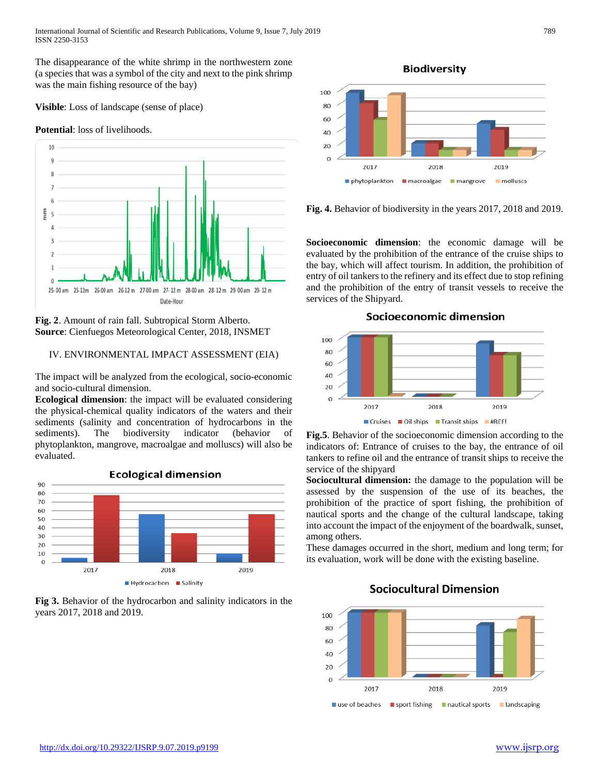The disappearance of the white shrimp in the northwestern zone (a species that was a symbol of the city and next to the pink shrimp was the main fishing resource of the bay)

**Visible**: Loss of landscape (sense of place)

#### **Potential**: loss of livelihoods.



**Fig. 2**. Amount of rain fall. Subtropical Storm Alberto. **Source**: Cienfuegos Meteorological Center, 2018, INSMET

## IV. ENVIRONMENTAL IMPACT ASSESSMENT (EIA)

The impact will be analyzed from the ecological, socio-economic and socio-cultural dimension.

**Ecological dimension**: the impact will be evaluated considering the physical-chemical quality indicators of the waters and their sediments (salinity and concentration of hydrocarbons in the sediments). The biodiversity indicator (behavior of phytoplankton, mangrove, macroalgae and molluscs) will also be evaluated.



**Fig 3.** Behavior of the hydrocarbon and salinity indicators in the years 2017, 2018 and 2019.



**Fig. 4.** Behavior of biodiversity in the years 2017, 2018 and 2019.

**Socioeconomic dimension**: the economic damage will be evaluated by the prohibition of the entrance of the cruise ships to the bay, which will affect tourism. In addition, the prohibition of entry of oil tankers to the refinery and its effect due to stop refining and the prohibition of the entry of transit vessels to receive the services of the Shipyard.



**Fig.5**. Behavior of the socioeconomic dimension according to the indicators of: Entrance of cruises to the bay, the entrance of oil tankers to refine oil and the entrance of transit ships to receive the service of the shipyard

**Sociocultural dimension:** the damage to the population will be assessed by the suspension of the use of its beaches, the prohibition of the practice of sport fishing, the prohibition of nautical sports and the change of the cultural landscape, taking into account the impact of the enjoyment of the boardwalk, sunset, among others.

These damages occurred in the short, medium and long term; for its evaluation, work will be done with the existing baseline.



## **Sociocultural Dimension**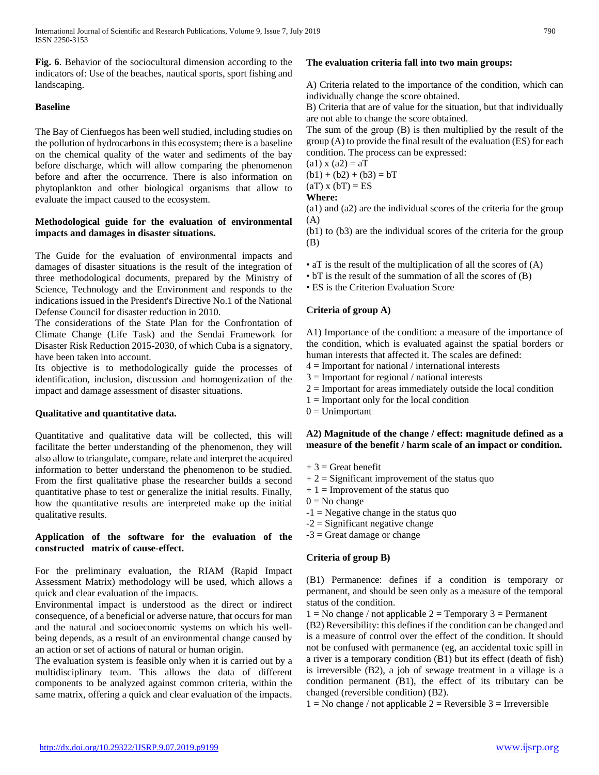**Fig. 6**. Behavior of the sociocultural dimension according to the indicators of: Use of the beaches, nautical sports, sport fishing and landscaping.

#### **Baseline**

The Bay of Cienfuegos has been well studied, including studies on the pollution of hydrocarbons in this ecosystem; there is a baseline on the chemical quality of the water and sediments of the bay before discharge, which will allow comparing the phenomenon before and after the occurrence. There is also information on phytoplankton and other biological organisms that allow to evaluate the impact caused to the ecosystem.

#### **Methodological guide for the evaluation of environmental impacts and damages in disaster situations.**

The Guide for the evaluation of environmental impacts and damages of disaster situations is the result of the integration of three methodological documents, prepared by the Ministry of Science, Technology and the Environment and responds to the indications issued in the President's Directive No.1 of the National Defense Council for disaster reduction in 2010.

The considerations of the State Plan for the Confrontation of Climate Change (Life Task) and the Sendai Framework for Disaster Risk Reduction 2015-2030, of which Cuba is a signatory, have been taken into account.

Its objective is to methodologically guide the processes of identification, inclusion, discussion and homogenization of the impact and damage assessment of disaster situations.

## **Qualitative and quantitative data.**

Quantitative and qualitative data will be collected, this will facilitate the better understanding of the phenomenon, they will also allow to triangulate, compare, relate and interpret the acquired information to better understand the phenomenon to be studied. From the first qualitative phase the researcher builds a second quantitative phase to test or generalize the initial results. Finally, how the quantitative results are interpreted make up the initial qualitative results.

#### **Application of the software for the evaluation of the constructed matrix of cause-effect.**

For the preliminary evaluation, the RIAM (Rapid Impact Assessment Matrix) methodology will be used, which allows a quick and clear evaluation of the impacts.

Environmental impact is understood as the direct or indirect consequence, of a beneficial or adverse nature, that occurs for man and the natural and socioeconomic systems on which his wellbeing depends, as a result of an environmental change caused by an action or set of actions of natural or human origin.

The evaluation system is feasible only when it is carried out by a multidisciplinary team. This allows the data of different components to be analyzed against common criteria, within the same matrix, offering a quick and clear evaluation of the impacts.

## **The evaluation criteria fall into two main groups:**

A) Criteria related to the importance of the condition, which can individually change the score obtained.

B) Criteria that are of value for the situation, but that individually are not able to change the score obtained.

The sum of the group (B) is then multiplied by the result of the group (A) to provide the final result of the evaluation (ES) for each condition. The process can be expressed:

 $(a1) x (a2) = aT$  $(b1) + (b2) + (b3) = bT$ 

#### $(aT)$  x  $(bT)$  = ES **Where:**

(a1) and (a2) are the individual scores of the criteria for the group

(A) (b1) to (b3) are the individual scores of the criteria for the group (B)

• aT is the result of the multiplication of all the scores of (A)

• bT is the result of the summation of all the scores of (B)

• ES is the Criterion Evaluation Score

## **Criteria of group A)**

A1) Importance of the condition: a measure of the importance of the condition, which is evaluated against the spatial borders or human interests that affected it. The scales are defined:

- $4 =$  Important for national / international interests  $3 =$  Important for regional / national interests
- 
- $2 =$ Important for areas immediately outside the local condition
- $1 =$  Important only for the local condition
- $0 =$ Unimportant

## **A2) Magnitude of the change / effect: magnitude defined as a measure of the benefit / harm scale of an impact or condition.**

- $+3$  = Great benefit
- $+ 2 =$  Significant improvement of the status quo
- $+ 1 =$  Improvement of the status quo
- $0 = No$  change
- $-1$  = Negative change in the status quo
- $-2$  = Significant negative change
- $-3$  = Great damage or change

#### **Criteria of group B)**

(B1) Permanence: defines if a condition is temporary or permanent, and should be seen only as a measure of the temporal status of the condition.

 $1 = No change / not applicable 2 = Temporary 3 = Permanent$ 

(B2) Reversibility: this defines if the condition can be changed and is a measure of control over the effect of the condition. It should not be confused with permanence (eg, an accidental toxic spill in a river is a temporary condition (B1) but its effect (death of fish) is irreversible (B2), a job of sewage treatment in a village is a condition permanent (B1), the effect of its tributary can be changed (reversible condition) (B2).

 $1 = No change / not applicable 2 = Reverseible 3 = Irreversible$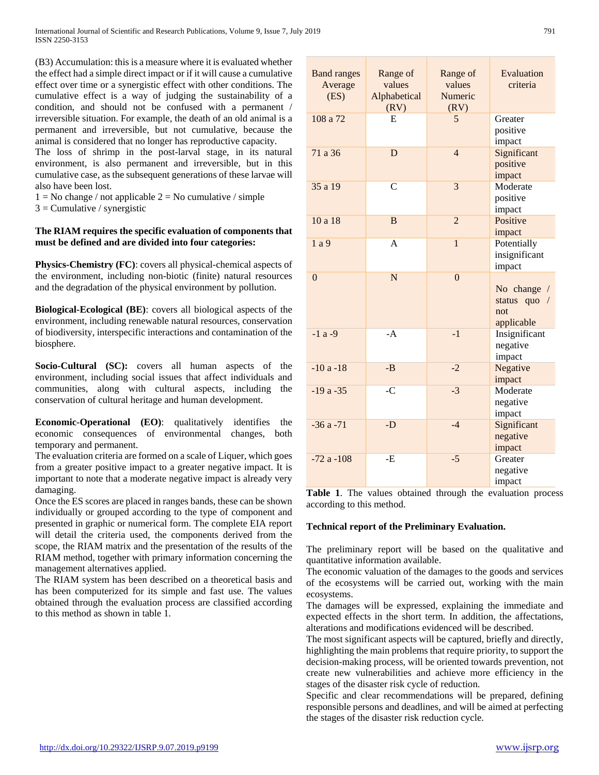(B3) Accumulation: this is a measure where it is evaluated whether the effect had a simple direct impact or if it will cause a cumulative effect over time or a synergistic effect with other conditions. The cumulative effect is a way of judging the sustainability of a condition, and should not be confused with a permanent / irreversible situation. For example, the death of an old animal is a permanent and irreversible, but not cumulative, because the animal is considered that no longer has reproductive capacity.

The loss of shrimp in the post-larval stage, in its natural environment, is also permanent and irreversible, but in this cumulative case, as the subsequent generations of these larvae will also have been lost.

 $1 = No change / not applicable 2 = No cumulative / simple$ 

 $3$  = Cumulative / synergistic

## **The RIAM requires the specific evaluation of components that must be defined and are divided into four categories:**

**Physics-Chemistry (FC)**: covers all physical-chemical aspects of the environment, including non-biotic (finite) natural resources and the degradation of the physical environment by pollution.

**Biological-Ecological (BE)**: covers all biological aspects of the environment, including renewable natural resources, conservation of biodiversity, interspecific interactions and contamination of the biosphere.

**Socio-Cultural (SC):** covers all human aspects of the environment, including social issues that affect individuals and communities, along with cultural aspects, including the conservation of cultural heritage and human development.

**Economic-Operational (EO)**: qualitatively identifies the economic consequences of environmental changes, both temporary and permanent.

The evaluation criteria are formed on a scale of Liquer, which goes from a greater positive impact to a greater negative impact. It is important to note that a moderate negative impact is already very damaging.

Once the ES scores are placed in ranges bands, these can be shown individually or grouped according to the type of component and presented in graphic or numerical form. The complete EIA report will detail the criteria used, the components derived from the scope, the RIAM matrix and the presentation of the results of the RIAM method, together with primary information concerning the management alternatives applied.

The RIAM system has been described on a theoretical basis and has been computerized for its simple and fast use. The values obtained through the evaluation process are classified according to this method as shown in table 1.

| <b>Band ranges</b><br>Average<br>(ES) | Range of<br>values<br>Alphabetical<br>(RV) | Range of<br>values<br>Numeric<br>(RV) | Evaluation<br>criteria                           |
|---------------------------------------|--------------------------------------------|---------------------------------------|--------------------------------------------------|
| 108 a 72                              | E                                          | 5                                     | Greater<br>positive<br>impact                    |
| 71 a 36                               | D                                          | $\overline{4}$                        | Significant<br>positive<br>impact                |
| 35 a 19                               | $\overline{C}$                             | 3                                     | Moderate<br>positive<br>impact                   |
| 10a18                                 | B                                          | $\overline{2}$                        | Positive<br>impact                               |
| 1a9                                   | A                                          | $\mathbf{1}$                          | Potentially<br>insignificant<br>impact           |
| $\Omega$                              | N                                          | $\theta$                              | No change /<br>status quo /<br>not<br>applicable |
| $-1a-9$                               | $-A$                                       | $-1$                                  | Insignificant<br>negative<br>impact              |
| $-10a-18$                             | $-B$                                       | $-2$                                  | Negative<br>impact                               |
| $-19a - 35$                           | $-C$                                       | $-3$                                  | Moderate<br>negative<br>impact                   |
| $-36a - 71$                           | $-D$                                       | $-4$                                  | Significant<br>negative<br>impact                |
| $-72a - 108$                          | -E                                         | $-5$                                  | Greater<br>negative<br>impact                    |

**Table 1**. The values obtained through the evaluation process according to this method.

#### **Technical report of the Preliminary Evaluation.**

The preliminary report will be based on the qualitative and quantitative information available.

The economic valuation of the damages to the goods and services of the ecosystems will be carried out, working with the main ecosystems.

The damages will be expressed, explaining the immediate and expected effects in the short term. In addition, the affectations, alterations and modifications evidenced will be described.

The most significant aspects will be captured, briefly and directly, highlighting the main problems that require priority, to support the decision-making process, will be oriented towards prevention, not create new vulnerabilities and achieve more efficiency in the stages of the disaster risk cycle of reduction.

Specific and clear recommendations will be prepared, defining responsible persons and deadlines, and will be aimed at perfecting the stages of the disaster risk reduction cycle.